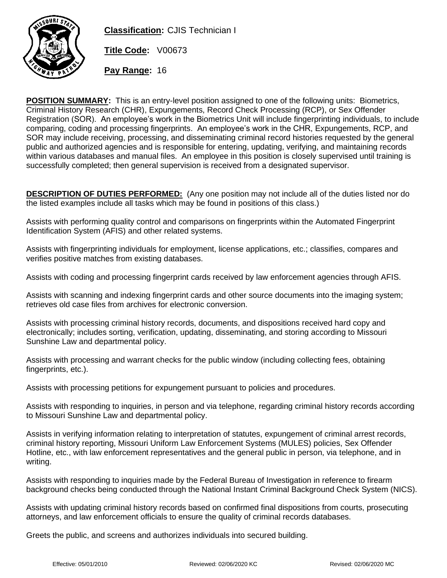

**Classification:** CJIS Technician I

**Title Code:** V00673

**Pay Range:** 16

**POSITION SUMMARY:** This is an entry-level position assigned to one of the following units: Biometrics, Criminal History Research (CHR), Expungements, Record Check Processing (RCP), or Sex Offender Registration (SOR). An employee's work in the Biometrics Unit will include fingerprinting individuals, to include comparing, coding and processing fingerprints. An employee's work in the CHR, Expungements, RCP, and SOR may include receiving, processing, and disseminating criminal record histories requested by the general public and authorized agencies and is responsible for entering, updating, verifying, and maintaining records within various databases and manual files. An employee in this position is closely supervised until training is successfully completed; then general supervision is received from a designated supervisor.

**DESCRIPTION OF DUTIES PERFORMED:** (Any one position may not include all of the duties listed nor do the listed examples include all tasks which may be found in positions of this class.)

Assists with performing quality control and comparisons on fingerprints within the Automated Fingerprint Identification System (AFIS) and other related systems.

Assists with fingerprinting individuals for employment, license applications, etc.; classifies, compares and verifies positive matches from existing databases.

Assists with coding and processing fingerprint cards received by law enforcement agencies through AFIS.

Assists with scanning and indexing fingerprint cards and other source documents into the imaging system; retrieves old case files from archives for electronic conversion.

Assists with processing criminal history records, documents, and dispositions received hard copy and electronically; includes sorting, verification, updating, disseminating, and storing according to Missouri Sunshine Law and departmental policy.

Assists with processing and warrant checks for the public window (including collecting fees, obtaining fingerprints, etc.).

Assists with processing petitions for expungement pursuant to policies and procedures.

Assists with responding to inquiries, in person and via telephone, regarding criminal history records according to Missouri Sunshine Law and departmental policy.

Assists in verifying information relating to interpretation of statutes, expungement of criminal arrest records, criminal history reporting, Missouri Uniform Law Enforcement Systems (MULES) policies, Sex Offender Hotline, etc., with law enforcement representatives and the general public in person, via telephone, and in writing.

Assists with responding to inquiries made by the Federal Bureau of Investigation in reference to firearm background checks being conducted through the National Instant Criminal Background Check System (NICS).

Assists with updating criminal history records based on confirmed final dispositions from courts, prosecuting attorneys, and law enforcement officials to ensure the quality of criminal records databases.

Greets the public, and screens and authorizes individuals into secured building.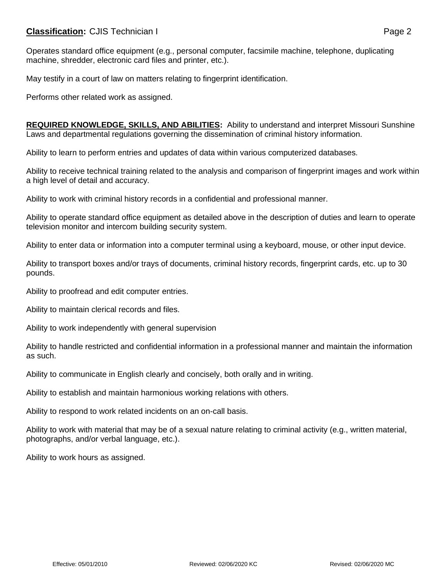## **Classification:** CJIS Technician I **Classification:** Page 2

Operates standard office equipment (e.g., personal computer, facsimile machine, telephone, duplicating machine, shredder, electronic card files and printer, etc.).

May testify in a court of law on matters relating to fingerprint identification.

Performs other related work as assigned.

**REQUIRED KNOWLEDGE, SKILLS, AND ABILITIES:** Ability to understand and interpret Missouri Sunshine Laws and departmental regulations governing the dissemination of criminal history information.

Ability to learn to perform entries and updates of data within various computerized databases.

Ability to receive technical training related to the analysis and comparison of fingerprint images and work within a high level of detail and accuracy.

Ability to work with criminal history records in a confidential and professional manner.

Ability to operate standard office equipment as detailed above in the description of duties and learn to operate television monitor and intercom building security system.

Ability to enter data or information into a computer terminal using a keyboard, mouse, or other input device.

Ability to transport boxes and/or trays of documents, criminal history records, fingerprint cards, etc. up to 30 pounds.

Ability to proofread and edit computer entries.

Ability to maintain clerical records and files.

Ability to work independently with general supervision

Ability to handle restricted and confidential information in a professional manner and maintain the information as such.

Ability to communicate in English clearly and concisely, both orally and in writing.

Ability to establish and maintain harmonious working relations with others.

Ability to respond to work related incidents on an on-call basis.

Ability to work with material that may be of a sexual nature relating to criminal activity (e.g., written material, photographs, and/or verbal language, etc.).

Ability to work hours as assigned.